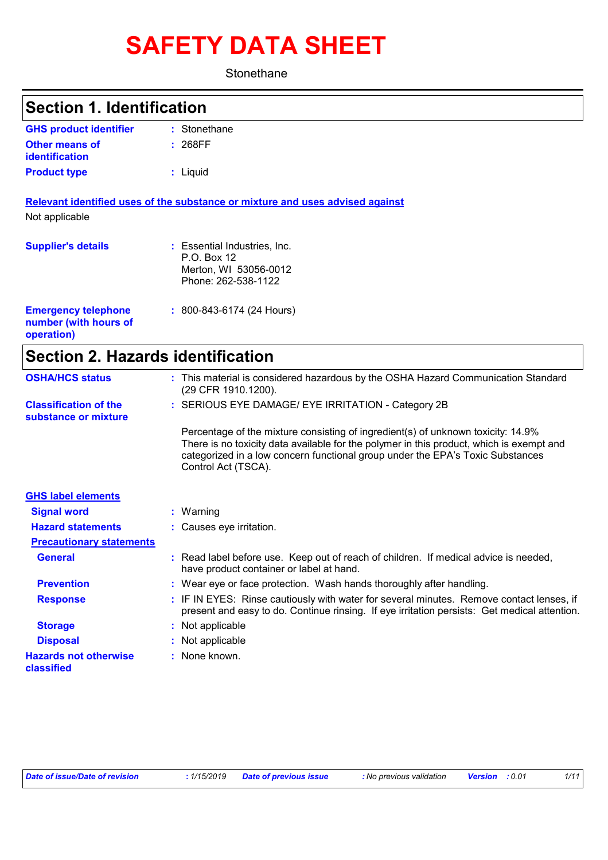# **SAFETY DATA SHEET**

**Stonethane** 

| <b>Section 1. Identification</b>                                  |                                                                                                                                                                              |
|-------------------------------------------------------------------|------------------------------------------------------------------------------------------------------------------------------------------------------------------------------|
| <b>GHS product identifier</b>                                     | : Stonethane                                                                                                                                                                 |
| <b>Other means of</b><br><b>identification</b>                    | : 268FF                                                                                                                                                                      |
| <b>Product type</b>                                               | : Liquid                                                                                                                                                                     |
|                                                                   | Relevant identified uses of the substance or mixture and uses advised against                                                                                                |
| Not applicable                                                    |                                                                                                                                                                              |
| <b>Supplier's details</b>                                         | : Essential Industries, Inc.<br>P.O. Box 12<br>Merton, WI 53056-0012<br>Phone: 262-538-1122                                                                                  |
| <b>Emergency telephone</b><br>number (with hours of<br>operation) | : 800-843-6174 (24 Hours)                                                                                                                                                    |
| <b>Section 2. Hazards identification</b>                          |                                                                                                                                                                              |
| <b>OSHA/HCS status</b>                                            | : This material is considered hazardous by the OSHA Hazard Communication Standard<br>(29 CFR 1910.1200).                                                                     |
| <b>Classification of the</b><br>substance or mixture              | : SERIOUS EYE DAMAGE/ EYE IRRITATION - Category 2B                                                                                                                           |
|                                                                   | Percentage of the mixture consisting of ingredient(s) of unknown toxicity: 14.9%<br>There is no toxicity data available for the polymer in this product, which is exempt and |

|                                 | categorized in a low concern functional group under the EPA's Toxic Substances<br>Control Act (TSCA).                                                                                    |
|---------------------------------|------------------------------------------------------------------------------------------------------------------------------------------------------------------------------------------|
| <b>GHS label elements</b>       |                                                                                                                                                                                          |
| <b>Signal word</b>              | $:$ Warning                                                                                                                                                                              |
| <b>Hazard statements</b>        | : Causes eye irritation.                                                                                                                                                                 |
| <b>Precautionary statements</b> |                                                                                                                                                                                          |
| <b>General</b>                  | : Read label before use. Keep out of reach of children. If medical advice is needed,<br>have product container or label at hand.                                                         |
| <b>Prevention</b>               | : Wear eye or face protection. Wash hands thoroughly after handling.                                                                                                                     |
| <b>Response</b>                 | : IF IN EYES: Rinse cautiously with water for several minutes. Remove contact lenses, if<br>present and easy to do. Continue rinsing. If eye irritation persists: Get medical attention. |
| <b>Storage</b>                  | : Not applicable                                                                                                                                                                         |

**Disposal :** Not applicable **Hazards not otherwise classified**

**:** None known.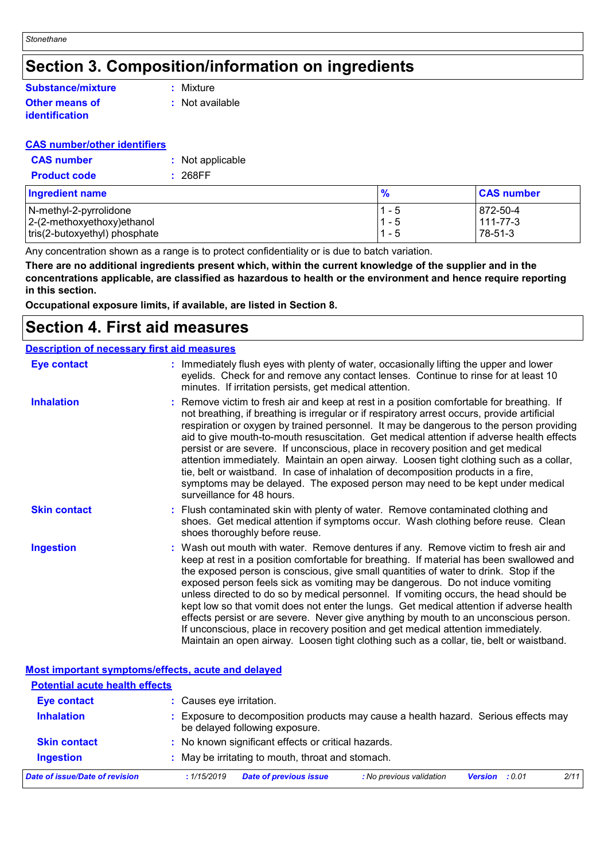### **Section 3. Composition/information on ingredients**

#### **Other means of identification Substance/mixture**

**:** Mixture

**:** Not available

#### **CAS number/other identifiers**

| <b>CAS number</b>   | : Not applicable |
|---------------------|------------------|
| <b>Product code</b> | : 268FF          |

| <b>Ingredient name</b>        | $\frac{9}{6}$ | <b>CAS number</b> |
|-------------------------------|---------------|-------------------|
| N-methyl-2-pyrrolidone        | $1 - 5$       | 872-50-4          |
| $ 2-(2-methoxyethoxy)ethanol$ | '1 - 5        | 111-77-3          |
| tris(2-butoxyethyl) phosphate | $1 - 5$       | 78-51-3           |

Any concentration shown as a range is to protect confidentiality or is due to batch variation.

**There are no additional ingredients present which, within the current knowledge of the supplier and in the concentrations applicable, are classified as hazardous to health or the environment and hence require reporting in this section.**

**Occupational exposure limits, if available, are listed in Section 8.**

### **Section 4. First aid measures**

#### **Description of necessary first aid measures**

| <b>Eye contact</b>  | : Immediately flush eyes with plenty of water, occasionally lifting the upper and lower<br>eyelids. Check for and remove any contact lenses. Continue to rinse for at least 10<br>minutes. If irritation persists, get medical attention.                                                                                                                                                                                                                                                                                                                                                                                                                                                                                                                                                                                 |
|---------------------|---------------------------------------------------------------------------------------------------------------------------------------------------------------------------------------------------------------------------------------------------------------------------------------------------------------------------------------------------------------------------------------------------------------------------------------------------------------------------------------------------------------------------------------------------------------------------------------------------------------------------------------------------------------------------------------------------------------------------------------------------------------------------------------------------------------------------|
| <b>Inhalation</b>   | : Remove victim to fresh air and keep at rest in a position comfortable for breathing. If<br>not breathing, if breathing is irregular or if respiratory arrest occurs, provide artificial<br>respiration or oxygen by trained personnel. It may be dangerous to the person providing<br>aid to give mouth-to-mouth resuscitation. Get medical attention if adverse health effects<br>persist or are severe. If unconscious, place in recovery position and get medical<br>attention immediately. Maintain an open airway. Loosen tight clothing such as a collar,<br>tie, belt or waistband. In case of inhalation of decomposition products in a fire,<br>symptoms may be delayed. The exposed person may need to be kept under medical<br>surveillance for 48 hours.                                                    |
| <b>Skin contact</b> | : Flush contaminated skin with plenty of water. Remove contaminated clothing and<br>shoes. Get medical attention if symptoms occur. Wash clothing before reuse. Clean<br>shoes thoroughly before reuse.                                                                                                                                                                                                                                                                                                                                                                                                                                                                                                                                                                                                                   |
| <b>Ingestion</b>    | : Wash out mouth with water. Remove dentures if any. Remove victim to fresh air and<br>keep at rest in a position comfortable for breathing. If material has been swallowed and<br>the exposed person is conscious, give small quantities of water to drink. Stop if the<br>exposed person feels sick as vomiting may be dangerous. Do not induce vomiting<br>unless directed to do so by medical personnel. If vomiting occurs, the head should be<br>kept low so that vomit does not enter the lungs. Get medical attention if adverse health<br>effects persist or are severe. Never give anything by mouth to an unconscious person.<br>If unconscious, place in recovery position and get medical attention immediately.<br>Maintain an open airway. Loosen tight clothing such as a collar, tie, belt or waistband. |

| <b>Most important symptoms/effects, acute and delayed</b> |                                                                                                                     |  |
|-----------------------------------------------------------|---------------------------------------------------------------------------------------------------------------------|--|
| <b>Potential acute health effects</b>                     |                                                                                                                     |  |
| <b>Eye contact</b>                                        | : Causes eye irritation.                                                                                            |  |
| <b>Inhalation</b>                                         | Exposure to decomposition products may cause a health hazard. Serious effects may<br>be delayed following exposure. |  |
| <b>Skin contact</b>                                       | : No known significant effects or critical hazards.                                                                 |  |
| <b>Ingestion</b>                                          | May be irritating to mouth, throat and stomach.                                                                     |  |
| Date of issue/Date of revision                            | 2/11<br><b>Date of previous issue</b><br>: No previous validation<br>: 1/15/2019<br><b>Version</b> : 0.01           |  |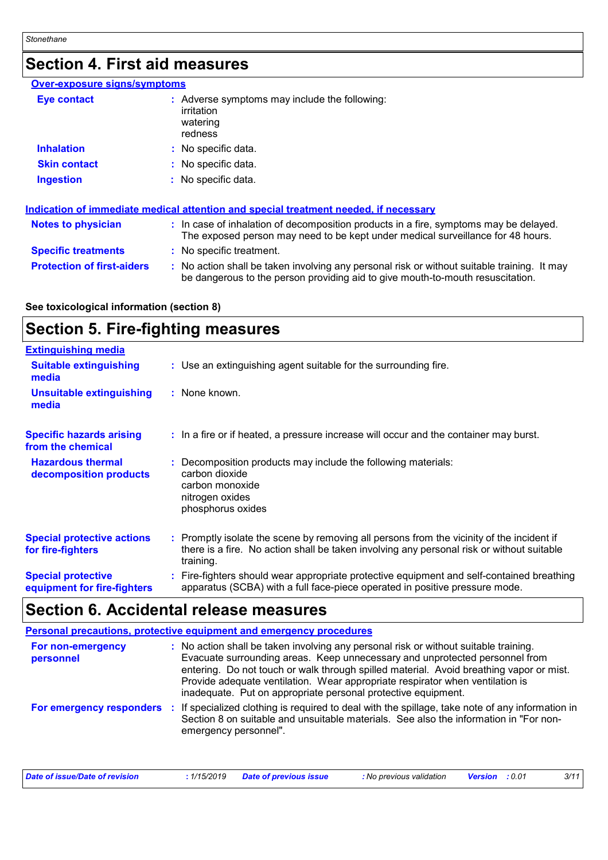### **Section 4. First aid measures**

#### **Over-exposure signs/symptoms**

| Eye contact         | : Adverse symptoms may include the following:<br>irritation<br>watering<br>redness |
|---------------------|------------------------------------------------------------------------------------|
| <b>Inhalation</b>   | : No specific data.                                                                |
| <b>Skin contact</b> | : No specific data.                                                                |
| <b>Ingestion</b>    | : No specific data.                                                                |

|                                   | Indication of immediate medical attention and special treatment needed, if necessary                                                                                          |
|-----------------------------------|-------------------------------------------------------------------------------------------------------------------------------------------------------------------------------|
| <b>Notes to physician</b>         | : In case of inhalation of decomposition products in a fire, symptoms may be delayed.<br>The exposed person may need to be kept under medical surveillance for 48 hours.      |
| <b>Specific treatments</b>        | : No specific treatment.                                                                                                                                                      |
| <b>Protection of first-aiders</b> | : No action shall be taken involving any personal risk or without suitable training. It may<br>be dangerous to the person providing aid to give mouth-to-mouth resuscitation. |

#### **See toxicological information (section 8)**

### **Section 5. Fire-fighting measures**

| <b>Extinguishing media</b>                               |                                                                                                                                                                                                     |  |
|----------------------------------------------------------|-----------------------------------------------------------------------------------------------------------------------------------------------------------------------------------------------------|--|
| <b>Suitable extinguishing</b><br>media                   | : Use an extinguishing agent suitable for the surrounding fire.                                                                                                                                     |  |
| <b>Unsuitable extinguishing</b><br>media                 | : None known.                                                                                                                                                                                       |  |
| <b>Specific hazards arising</b><br>from the chemical     | : In a fire or if heated, a pressure increase will occur and the container may burst.                                                                                                               |  |
| <b>Hazardous thermal</b><br>decomposition products       | : Decomposition products may include the following materials:<br>carbon dioxide<br>carbon monoxide<br>nitrogen oxides<br>phosphorus oxides                                                          |  |
| <b>Special protective actions</b><br>for fire-fighters   | : Promptly isolate the scene by removing all persons from the vicinity of the incident if<br>there is a fire. No action shall be taken involving any personal risk or without suitable<br>training. |  |
| <b>Special protective</b><br>equipment for fire-fighters | : Fire-fighters should wear appropriate protective equipment and self-contained breathing<br>apparatus (SCBA) with a full face-piece operated in positive pressure mode.                            |  |

### **Section 6. Accidental release measures**

|                                | Personal precautions, protective equipment and emergency procedures                                                                                                                                                                                                                                                                                                                                              |
|--------------------------------|------------------------------------------------------------------------------------------------------------------------------------------------------------------------------------------------------------------------------------------------------------------------------------------------------------------------------------------------------------------------------------------------------------------|
| For non-emergency<br>personnel | : No action shall be taken involving any personal risk or without suitable training.<br>Evacuate surrounding areas. Keep unnecessary and unprotected personnel from<br>entering. Do not touch or walk through spilled material. Avoid breathing vapor or mist.<br>Provide adequate ventilation. Wear appropriate respirator when ventilation is<br>inadequate. Put on appropriate personal protective equipment. |
|                                | For emergency responders : If specialized clothing is required to deal with the spillage, take note of any information in<br>Section 8 on suitable and unsuitable materials. See also the information in "For non-<br>emergency personnel".                                                                                                                                                                      |

| Date of issue/Date of revision |  | : 1/15/2019 Date of previous issue | : No previous validation | <b>Version</b> : 0.01 | 3/11 |
|--------------------------------|--|------------------------------------|--------------------------|-----------------------|------|
|--------------------------------|--|------------------------------------|--------------------------|-----------------------|------|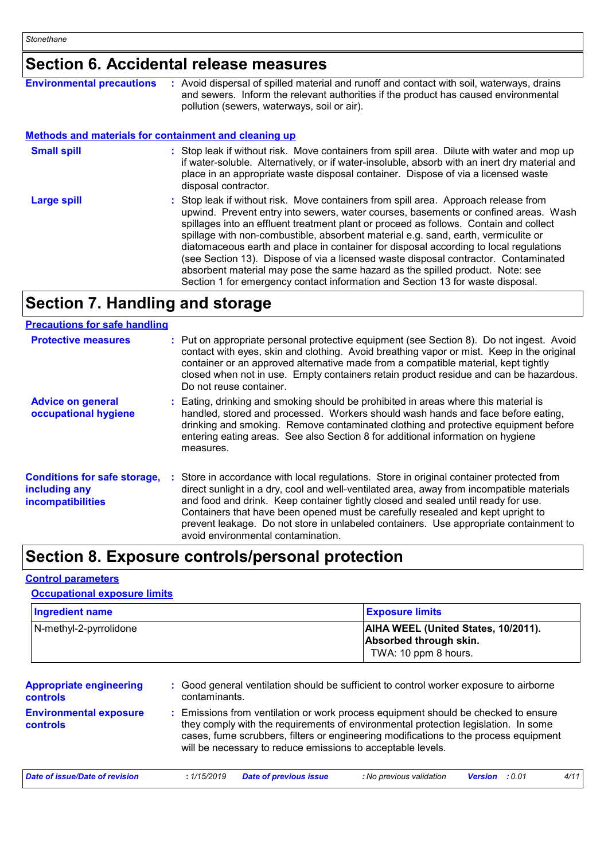### **Section 6. Accidental release measures**

| <b>Environmental precautions</b>                             | : Avoid dispersal of spilled material and runoff and contact with soil, waterways, drains<br>and sewers. Inform the relevant authorities if the product has caused environmental<br>pollution (sewers, waterways, soil or air).                                                                                                                                                                                                                                                                                                                                                                                                                                                                              |
|--------------------------------------------------------------|--------------------------------------------------------------------------------------------------------------------------------------------------------------------------------------------------------------------------------------------------------------------------------------------------------------------------------------------------------------------------------------------------------------------------------------------------------------------------------------------------------------------------------------------------------------------------------------------------------------------------------------------------------------------------------------------------------------|
| <b>Methods and materials for containment and cleaning up</b> |                                                                                                                                                                                                                                                                                                                                                                                                                                                                                                                                                                                                                                                                                                              |
| <b>Small spill</b>                                           | : Stop leak if without risk. Move containers from spill area. Dilute with water and mop up<br>if water-soluble. Alternatively, or if water-insoluble, absorb with an inert dry material and<br>place in an appropriate waste disposal container. Dispose of via a licensed waste<br>disposal contractor.                                                                                                                                                                                                                                                                                                                                                                                                     |
| <b>Large spill</b>                                           | : Stop leak if without risk. Move containers from spill area. Approach release from<br>upwind. Prevent entry into sewers, water courses, basements or confined areas. Wash<br>spillages into an effluent treatment plant or proceed as follows. Contain and collect<br>spillage with non-combustible, absorbent material e.g. sand, earth, vermiculite or<br>diatomaceous earth and place in container for disposal according to local regulations<br>(see Section 13). Dispose of via a licensed waste disposal contractor. Contaminated<br>absorbent material may pose the same hazard as the spilled product. Note: see<br>Section 1 for emergency contact information and Section 13 for waste disposal. |

### **Section 7. Handling and storage**

#### **Precautions for safe handling**

| <b>Protective measures</b>                                                       | : Put on appropriate personal protective equipment (see Section 8). Do not ingest. Avoid<br>contact with eyes, skin and clothing. Avoid breathing vapor or mist. Keep in the original<br>container or an approved alternative made from a compatible material, kept tightly<br>closed when not in use. Empty containers retain product residue and can be hazardous.<br>Do not reuse container.                                                                                              |
|----------------------------------------------------------------------------------|----------------------------------------------------------------------------------------------------------------------------------------------------------------------------------------------------------------------------------------------------------------------------------------------------------------------------------------------------------------------------------------------------------------------------------------------------------------------------------------------|
| <b>Advice on general</b><br>occupational hygiene                                 | : Eating, drinking and smoking should be prohibited in areas where this material is<br>handled, stored and processed. Workers should wash hands and face before eating,<br>drinking and smoking. Remove contaminated clothing and protective equipment before<br>entering eating areas. See also Section 8 for additional information on hygiene<br>measures.                                                                                                                                |
| <b>Conditions for safe storage,</b><br>including any<br><b>incompatibilities</b> | : Store in accordance with local regulations. Store in original container protected from<br>direct sunlight in a dry, cool and well-ventilated area, away from incompatible materials<br>and food and drink. Keep container tightly closed and sealed until ready for use.<br>Containers that have been opened must be carefully resealed and kept upright to<br>prevent leakage. Do not store in unlabeled containers. Use appropriate containment to<br>avoid environmental contamination. |

### **Section 8. Exposure controls/personal protection**

#### **Control parameters**

#### **Occupational exposure limits**

| <b>Ingredient name</b> | <b>Exposure limits</b>                                        |
|------------------------|---------------------------------------------------------------|
| N-methyl-2-pyrrolidone | AIHA WEEL (United States, 10/2011).<br>Absorbed through skin. |
|                        | TWA: 10 ppm 8 hours.                                          |

| <b>Appropriate engineering</b><br><b>controls</b> |            | : Good general ventilation should be sufficient to control worker exposure to airborne<br>contaminants.                                                                                                                                                                                                                         |                          |                       |  |      |  |
|---------------------------------------------------|------------|---------------------------------------------------------------------------------------------------------------------------------------------------------------------------------------------------------------------------------------------------------------------------------------------------------------------------------|--------------------------|-----------------------|--|------|--|
| <b>Environmental exposure</b><br><b>controls</b>  |            | : Emissions from ventilation or work process equipment should be checked to ensure<br>they comply with the requirements of environmental protection legislation. In some<br>cases, fume scrubbers, filters or engineering modifications to the process equipment<br>will be necessary to reduce emissions to acceptable levels. |                          |                       |  |      |  |
| Date of issue/Date of revision                    | :1/15/2019 | Date of previous issue                                                                                                                                                                                                                                                                                                          | : No previous validation | <b>Version</b> : 0.01 |  | 4/11 |  |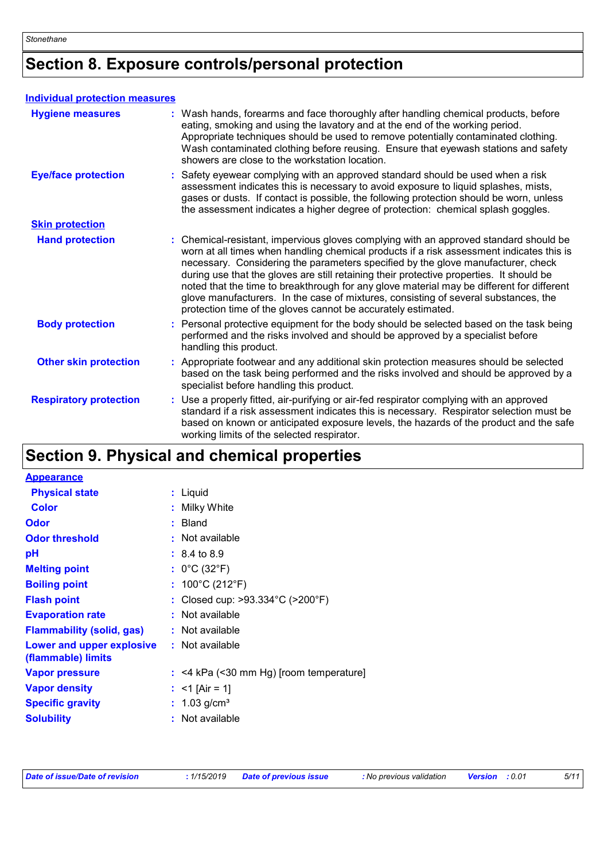## **Section 8. Exposure controls/personal protection**

#### **Individual protection measures**

| <b>Hygiene measures</b>       | : Wash hands, forearms and face thoroughly after handling chemical products, before<br>eating, smoking and using the lavatory and at the end of the working period.<br>Appropriate techniques should be used to remove potentially contaminated clothing.<br>Wash contaminated clothing before reusing. Ensure that eyewash stations and safety<br>showers are close to the workstation location.                                                                                                                                                                                                                      |
|-------------------------------|------------------------------------------------------------------------------------------------------------------------------------------------------------------------------------------------------------------------------------------------------------------------------------------------------------------------------------------------------------------------------------------------------------------------------------------------------------------------------------------------------------------------------------------------------------------------------------------------------------------------|
| <b>Eye/face protection</b>    | : Safety eyewear complying with an approved standard should be used when a risk<br>assessment indicates this is necessary to avoid exposure to liquid splashes, mists,<br>gases or dusts. If contact is possible, the following protection should be worn, unless<br>the assessment indicates a higher degree of protection: chemical splash goggles.                                                                                                                                                                                                                                                                  |
| <b>Skin protection</b>        |                                                                                                                                                                                                                                                                                                                                                                                                                                                                                                                                                                                                                        |
| <b>Hand protection</b>        | : Chemical-resistant, impervious gloves complying with an approved standard should be<br>worn at all times when handling chemical products if a risk assessment indicates this is<br>necessary. Considering the parameters specified by the glove manufacturer, check<br>during use that the gloves are still retaining their protective properties. It should be<br>noted that the time to breakthrough for any glove material may be different for different<br>glove manufacturers. In the case of mixtures, consisting of several substances, the<br>protection time of the gloves cannot be accurately estimated. |
| <b>Body protection</b>        | : Personal protective equipment for the body should be selected based on the task being<br>performed and the risks involved and should be approved by a specialist before<br>handling this product.                                                                                                                                                                                                                                                                                                                                                                                                                    |
| <b>Other skin protection</b>  | : Appropriate footwear and any additional skin protection measures should be selected<br>based on the task being performed and the risks involved and should be approved by a<br>specialist before handling this product.                                                                                                                                                                                                                                                                                                                                                                                              |
| <b>Respiratory protection</b> | : Use a properly fitted, air-purifying or air-fed respirator complying with an approved<br>standard if a risk assessment indicates this is necessary. Respirator selection must be<br>based on known or anticipated exposure levels, the hazards of the product and the safe<br>working limits of the selected respirator.                                                                                                                                                                                                                                                                                             |

### **Section 9. Physical and chemical properties**

| <b>Appearance</b>                               |                                                       |
|-------------------------------------------------|-------------------------------------------------------|
| <b>Physical state</b>                           | : Liquid                                              |
| <b>Color</b>                                    | Milky White                                           |
| Odor                                            | $:$ Bland                                             |
| <b>Odor threshold</b>                           | : Not available                                       |
| рH                                              | $: 8.4 \text{ to } 8.9$                               |
| <b>Melting point</b>                            | : $0^{\circ}$ C (32 $^{\circ}$ F)                     |
| <b>Boiling point</b>                            | : $100^{\circ}$ C (212 $^{\circ}$ F)                  |
| <b>Flash point</b>                              | : Closed cup: $>93.334^{\circ}$ C ( $>200^{\circ}$ F) |
| <b>Evaporation rate</b>                         | : Not available                                       |
| <b>Flammability (solid, gas)</b>                | : Not available                                       |
| Lower and upper explosive<br>(flammable) limits | : Not available                                       |
| <b>Vapor pressure</b>                           | $:$ <4 kPa (<30 mm Hg) [room temperature]             |
| <b>Vapor density</b>                            | : $<$ 1 [Air = 1]                                     |
| <b>Specific gravity</b>                         | : $1.03$ g/cm <sup>3</sup>                            |
| <b>Solubility</b>                               | Not available                                         |
|                                                 |                                                       |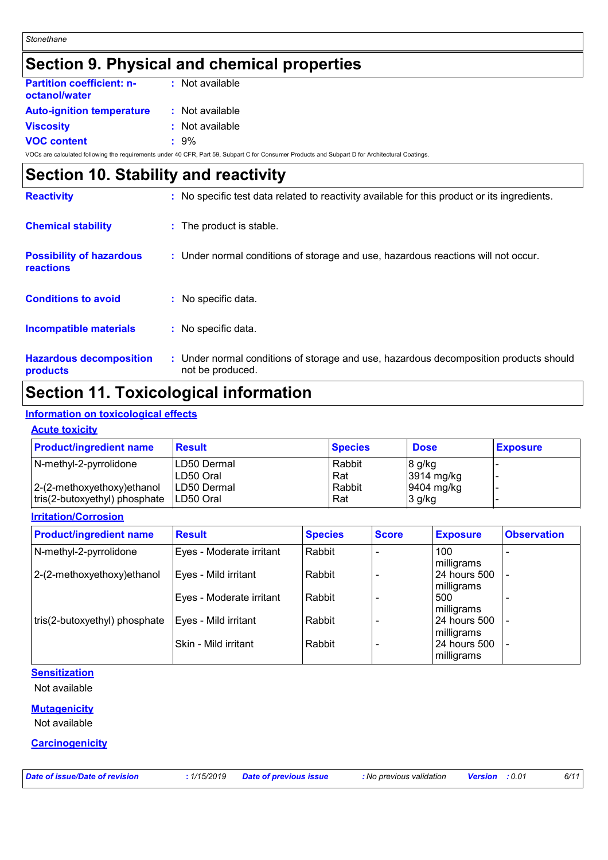### **Section 9. Physical and chemical properties**

| <b>Partition coefficient: n-</b><br>octanol/water | : Not available |
|---------------------------------------------------|-----------------|
| <b>Auto-ignition temperature</b>                  | : Not available |
| <b>Viscosity</b>                                  | : Not available |
| <b>VOC content</b>                                | $: 9\%$         |
|                                                   |                 |

VOCs are calculated following the requirements under 40 CFR, Part 59, Subpart C for Consumer Products and Subpart D for Architectural Coatings.

### **Section 10. Stability and reactivity Reactivity :** No specific test data related to reactivity available for this product or its ingredients.

| <b>Hazardous decomposition</b><br>products   | : Under normal conditions of storage and use, hazardous decomposition products should<br>not be produced. |
|----------------------------------------------|-----------------------------------------------------------------------------------------------------------|
| <b>Incompatible materials</b>                | : No specific data.                                                                                       |
| <b>Conditions to avoid</b>                   | : No specific data.                                                                                       |
| <b>Possibility of hazardous</b><br>reactions | : Under normal conditions of storage and use, hazardous reactions will not occur.                         |
| <b>Chemical stability</b>                    | : The product is stable.                                                                                  |
| <u>.</u>                                     | the product of the following the second condition of the product of its ingrediter.                       |

### **Section 11. Toxicological information**

#### **Information on toxicological effects**

#### **Acute toxicity**

| <b>Product/ingredient name</b> | <b>Result</b>       | <b>Species</b> | <b>Dose</b> | <b>Exposure</b> |
|--------------------------------|---------------------|----------------|-------------|-----------------|
| N-methyl-2-pyrrolidone         | ILD50 Dermal        | Rabbit         | $8$ g/kg    |                 |
|                                | LD50 Oral           | Rat            | 3914 mg/kg  |                 |
| $ 2-(2-methoxyethoxy)$ ethanol | <b>ILD50 Dermal</b> | Rabbit         | 9404 mg/kg  |                 |
| tris(2-butoxyethyl) phosphate  | ILD50 Oral          | Rat            | $3$ g/kg    |                 |

#### **Irritation/Corrosion**

| <b>Product/ingredient name</b> | <b>Result</b>            | <b>Species</b> | <b>Score</b> | <b>Exposure</b> | <b>Observation</b>       |
|--------------------------------|--------------------------|----------------|--------------|-----------------|--------------------------|
| N-methyl-2-pyrrolidone         | Eyes - Moderate irritant | Rabbit         |              | 100             | $\overline{\phantom{0}}$ |
|                                |                          |                |              | milligrams      |                          |
| 2-(2-methoxyethoxy) ethanol    | Eyes - Mild irritant     | Rabbit         |              | 24 hours 500    | $\blacksquare$           |
|                                |                          |                |              | milligrams      |                          |
|                                | Eyes - Moderate irritant | Rabbit         |              | 500             |                          |
|                                |                          |                |              | milligrams      |                          |
| tris(2-butoxyethyl) phosphate  | Eyes - Mild irritant     | Rabbit         |              | 24 hours 500    | $\overline{\phantom{a}}$ |
|                                |                          |                |              | milligrams      |                          |
|                                | Skin - Mild irritant     | Rabbit         |              | 24 hours 500    |                          |
|                                |                          |                |              | milligrams      |                          |

#### **Sensitization**

Not available

#### **Mutagenicity**

Not available

#### **Carcinogenicity**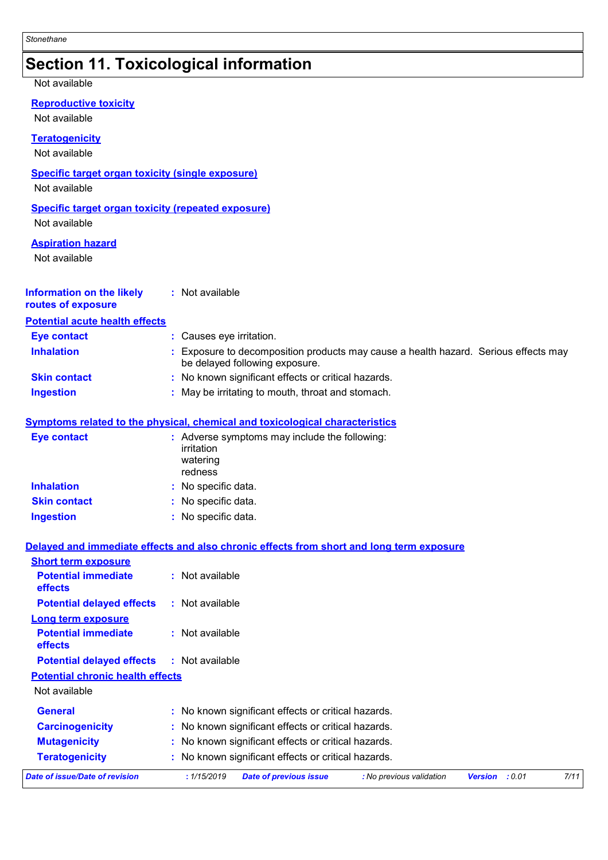### **Section 11. Toxicological information**

#### Not available

#### **Reproductive toxicity**

Not available

#### **Teratogenicity**

Not available

#### **Specific target organ toxicity (single exposure)**

Not available

#### **Specific target organ toxicity (repeated exposure)** Not available

#### **Aspiration hazard**

Not available

| <b>Information on the likely</b><br>routes of exposure | Not available                                                                                                       |
|--------------------------------------------------------|---------------------------------------------------------------------------------------------------------------------|
| <b>Potential acute health effects</b>                  |                                                                                                                     |
| <b>Eye contact</b>                                     | : Causes eye irritation.                                                                                            |
| <b>Inhalation</b>                                      | Exposure to decomposition products may cause a health hazard. Serious effects may<br>be delayed following exposure. |
| <b>Skin contact</b>                                    | : No known significant effects or critical hazards.                                                                 |
| <b>Ingestion</b>                                       | : May be irritating to mouth, throat and stomach.                                                                   |

#### **Symptoms related to the physical, chemical and toxicological characteristics**

| <b>Eye contact</b>  | : Adverse symptoms may include the following:<br>irritation<br>watering<br>redness |
|---------------------|------------------------------------------------------------------------------------|
| <b>Inhalation</b>   | : No specific data.                                                                |
| <b>Skin contact</b> | : No specific data.                                                                |
| <b>Ingestion</b>    | : No specific data.                                                                |

#### **Delayed and immediate effects and also chronic effects from short and long term exposure**

| Date of issue/Date of revision               | : 1/15/2019<br><b>Date of previous issue</b><br>: No previous validation | : 0.01<br><b>Version</b> | 7/11 |
|----------------------------------------------|--------------------------------------------------------------------------|--------------------------|------|
| <b>Teratogenicity</b>                        | : No known significant effects or critical hazards.                      |                          |      |
| <b>Mutagenicity</b>                          | : No known significant effects or critical hazards.                      |                          |      |
| <b>Carcinogenicity</b>                       | : No known significant effects or critical hazards.                      |                          |      |
| <b>General</b>                               | : No known significant effects or critical hazards.                      |                          |      |
| Not available                                |                                                                          |                          |      |
| <b>Potential chronic health effects</b>      |                                                                          |                          |      |
| <b>Potential delayed effects</b>             | : Not available                                                          |                          |      |
| <b>Potential immediate</b><br>effects        | $:$ Not available                                                        |                          |      |
| <b>Long term exposure</b>                    |                                                                          |                          |      |
| <b>Potential delayed effects</b>             | : Not available                                                          |                          |      |
| <b>Potential immediate</b><br><b>effects</b> | : Not available                                                          |                          |      |
| <b>Short term exposure</b>                   |                                                                          |                          |      |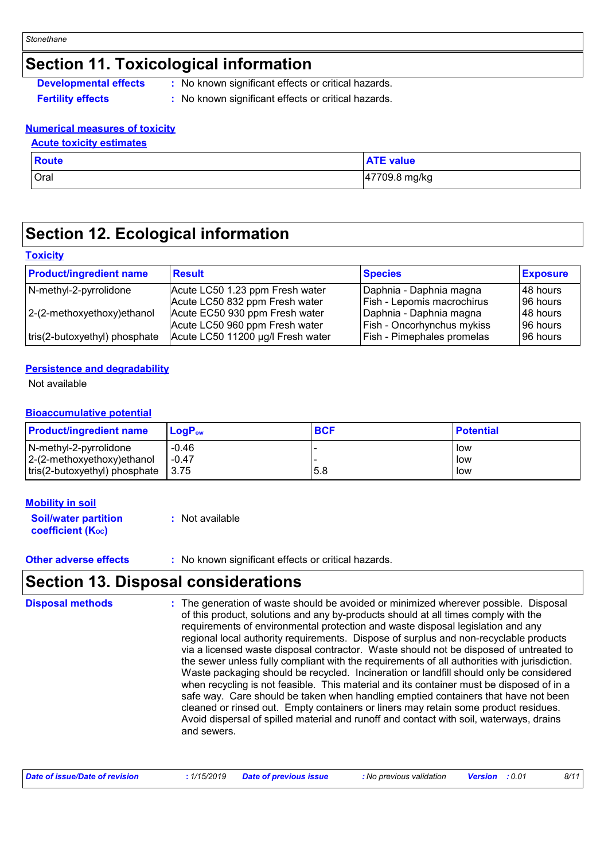### **Section 11. Toxicological information**

| <b>Developmental effects</b> | No known |
|------------------------------|----------|
|                              |          |

significant effects or critical hazards.

**Fertility effects :** No known significant effects or critical hazards.

#### **Numerical measures of toxicity**

### **Acute toxicity estimates**

| <b>Route</b> | <b>ATE value</b> |
|--------------|------------------|
| Oral         | 47709.8 mg/kg    |

### **Section 12. Ecological information**

#### **Toxicity**

| <b>Product/ingredient name</b> | <b>Result</b>                     | <b>Species</b>                    | <b>Exposure</b> |
|--------------------------------|-----------------------------------|-----------------------------------|-----------------|
| N-methyl-2-pyrrolidone         | Acute LC50 1.23 ppm Fresh water   | Daphnia - Daphnia magna           | 148 hours       |
|                                | Acute LC50 832 ppm Fresh water    | Fish - Lepomis macrochirus        | 96 hours        |
| $ 2-(2-methoxyethoxy)ethanol$  | Acute EC50 930 ppm Fresh water    | Daphnia - Daphnia magna           | 148 hours       |
|                                | Acute LC50 960 ppm Fresh water    | <b>Fish - Oncorhynchus mykiss</b> | 196 hours       |
| tris(2-butoxyethyl) phosphate  | Acute LC50 11200 µg/l Fresh water | Fish - Pimephales promelas        | 96 hours        |

#### **Persistence and degradability**

Not available

#### **Bioaccumulative potential**

| <b>Product/ingredient name</b> | LogP <sub>ow</sub> | <b>BCF</b> | <b>Potential</b> |
|--------------------------------|--------------------|------------|------------------|
| N-methyl-2-pyrrolidone         | $-0.46$            |            | low              |
| 2-(2-methoxyethoxy)ethanol     | $-0.47$            |            | low              |
| tris(2-butoxyethyl) phosphate  | 3.75               | 5.8        | low              |

#### **Mobility in soil**

| <b>Soil/water partition</b>    | : Not available |
|--------------------------------|-----------------|
| coefficient (K <sub>oc</sub> ) |                 |

**Other adverse effects** : No known significant effects or critical hazards.

### **Section 13. Disposal considerations**

The generation of waste should be avoided or minimized wherever possible. Disposal of this product, solutions and any by-products should at all times comply with the requirements of environmental protection and waste disposal legislation and any regional local authority requirements. Dispose of surplus and non-recyclable products via a licensed waste disposal contractor. Waste should not be disposed of untreated to the sewer unless fully compliant with the requirements of all authorities with jurisdiction. Waste packaging should be recycled. Incineration or landfill should only be considered when recycling is not feasible. This material and its container must be disposed of in a safe way. Care should be taken when handling emptied containers that have not been cleaned or rinsed out. Empty containers or liners may retain some product residues. Avoid dispersal of spilled material and runoff and contact with soil, waterways, drains and sewers. **Disposal methods :**

| Date of issue/Date of revision | : 1/15/2019 Date of previous issue | : No previous validation | <b>Version</b> : 0.01 | 8/11 |
|--------------------------------|------------------------------------|--------------------------|-----------------------|------|
|--------------------------------|------------------------------------|--------------------------|-----------------------|------|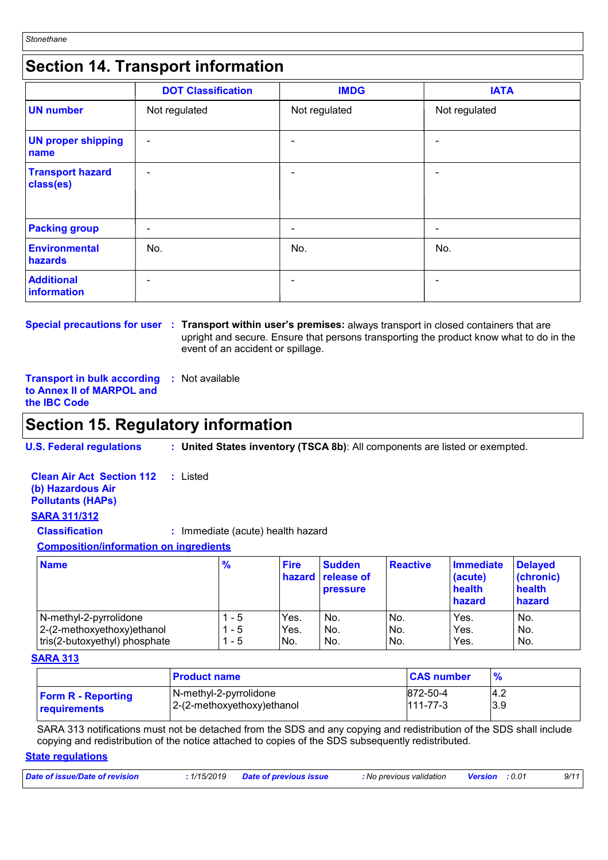### **Section 14. Transport information**

|                                      | <b>DOT Classification</b> | <b>IMDG</b>   | <b>IATA</b>    |
|--------------------------------------|---------------------------|---------------|----------------|
| <b>UN number</b>                     | Not regulated             | Not regulated | Not regulated  |
| <b>UN proper shipping</b><br>name    | $\blacksquare$            |               | $\blacksquare$ |
| <b>Transport hazard</b><br>class(es) | ٠                         |               | ۰              |
| <b>Packing group</b>                 | ۰                         |               | ٠              |
| Environmental<br>hazards             | No.                       | No.           | No.            |
| <b>Additional</b><br>information     | -                         |               |                |

**Special precautions for user Transport within user's premises:** always transport in closed containers that are **:** upright and secure. Ensure that persons transporting the product know what to do in the event of an accident or spillage.

**Transport in bulk according :** Not available **to Annex II of MARPOL and the IBC Code**

### **Section 15. Regulatory information**

**U.S. Federal regulations : United States inventory (TSCA 8b)**: All components are listed or exempted.

**Clean Air Act Section 112 (b) Hazardous Air Pollutants (HAPs) :** Listed

#### **SARA 311/312**

**Classification :** Immediate (acute) health hazard

**Composition/information on ingredients**

| <b>Name</b>                   | $\frac{9}{6}$ | <b>Fire</b> | <b>Sudden</b><br>hazard release of<br><b>pressure</b> | <b>Reactive</b> | Immediate<br>(acute)<br>health<br>hazard | <b>Delayed</b><br>(chronic)<br>health<br>hazard |
|-------------------------------|---------------|-------------|-------------------------------------------------------|-----------------|------------------------------------------|-------------------------------------------------|
| N-methyl-2-pyrrolidone        | - 5           | Yes.        | No.                                                   | No.             | Yes.                                     | No.                                             |
| 2-(2-methoxyethoxy)ethanol    | - 5           | Yes.        | No.                                                   | No.             | Yes.                                     | No.                                             |
| tris(2-butoxyethyl) phosphate | - 5           | No.         | No.                                                   | No.             | Yes.                                     | No.                                             |

#### **SARA 313**

|                           | <b>Product name</b>        | <b>CAS number</b> |     |
|---------------------------|----------------------------|-------------------|-----|
| <b>Form R - Reporting</b> | N-methyl-2-pyrrolidone     | 872-50-4          | 4.2 |
| requirements              | 2-(2-methoxyethoxy)ethanol | 111-77-3          | 3.9 |

SARA 313 notifications must not be detached from the SDS and any copying and redistribution of the SDS shall include copying and redistribution of the notice attached to copies of the SDS subsequently redistributed.

#### **State regulations**

| Date of issue/Date of revision<br>: 1/15/2019 Date of previous issue<br>O.01: No previous validation <b>Version</b> |  |  |  |  |  | 9/11 |
|---------------------------------------------------------------------------------------------------------------------|--|--|--|--|--|------|
|---------------------------------------------------------------------------------------------------------------------|--|--|--|--|--|------|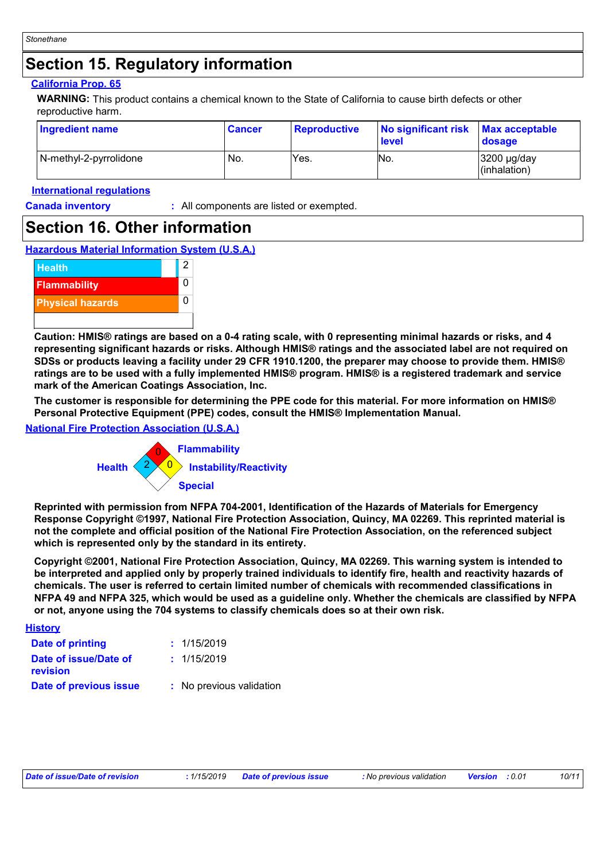### **Section 15. Regulatory information**

#### **California Prop. 65**

**WARNING:** This product contains a chemical known to the State of California to cause birth defects or other reproductive harm.

| Ingredient name        | <b>Cancer</b> | <b>Reproductive</b> | No significant risk<br><b>level</b> | <b>Max acceptable</b><br>dosage          |
|------------------------|---------------|---------------------|-------------------------------------|------------------------------------------|
| N-methyl-2-pyrrolidone | No.           | Yes.                | No.                                 | $3200 \mu g/day$<br>$\vert$ (inhalation) |

#### **International regulations**

**Canada inventory :** All components are listed or exempted.

### **Section 16. Other information**

#### **Hazardous Material Information System (U.S.A.)**



**Caution: HMIS® ratings are based on a 0-4 rating scale, with 0 representing minimal hazards or risks, and 4 representing significant hazards or risks. Although HMIS® ratings and the associated label are not required on SDSs or products leaving a facility under 29 CFR 1910.1200, the preparer may choose to provide them. HMIS® ratings are to be used with a fully implemented HMIS® program. HMIS® is a registered trademark and service mark of the American Coatings Association, Inc.**

**The customer is responsible for determining the PPE code for this material. For more information on HMIS® Personal Protective Equipment (PPE) codes, consult the HMIS® Implementation Manual.**

#### **National Fire Protection Association (U.S.A.)**



**Reprinted with permission from NFPA 704-2001, Identification of the Hazards of Materials for Emergency Response Copyright ©1997, National Fire Protection Association, Quincy, MA 02269. This reprinted material is not the complete and official position of the National Fire Protection Association, on the referenced subject which is represented only by the standard in its entirety.**

**Copyright ©2001, National Fire Protection Association, Quincy, MA 02269. This warning system is intended to be interpreted and applied only by properly trained individuals to identify fire, health and reactivity hazards of chemicals. The user is referred to certain limited number of chemicals with recommended classifications in NFPA 49 and NFPA 325, which would be used as a guideline only. Whether the chemicals are classified by NFPA or not, anyone using the 704 systems to classify chemicals does so at their own risk.**

| <b>History</b>                    |                          |
|-----------------------------------|--------------------------|
| Date of printing                  | : 1/15/2019              |
| Date of issue/Date of<br>revision | : 1/15/2019              |
| Date of previous issue            | : No previous validation |